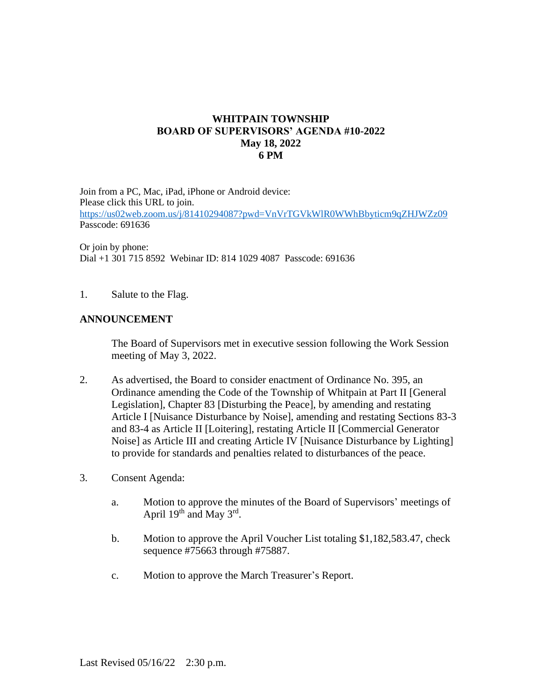## **WHITPAIN TOWNSHIP BOARD OF SUPERVISORS' AGENDA #10-2022 May 18, 2022 6 PM**

Join from a PC, Mac, iPad, iPhone or Android device: Please click this URL to join. <https://us02web.zoom.us/j/81410294087?pwd=VnVrTGVkWlR0WWhBbyticm9qZHJWZz09> Passcode: 691636

Or join by phone: Dial +1 301 715 8592 Webinar ID: 814 1029 4087 Passcode: 691636

## 1. Salute to the Flag.

## **ANNOUNCEMENT**

The Board of Supervisors met in executive session following the Work Session meeting of May 3, 2022.

- 2. As advertised, the Board to consider enactment of Ordinance No. 395, an Ordinance amending the Code of the Township of Whitpain at Part II [General Legislation], Chapter 83 [Disturbing the Peace], by amending and restating Article I [Nuisance Disturbance by Noise], amending and restating Sections 83-3 and 83-4 as Article II [Loitering], restating Article II [Commercial Generator Noise] as Article III and creating Article IV [Nuisance Disturbance by Lighting] to provide for standards and penalties related to disturbances of the peace.
- 3. Consent Agenda:
	- a. Motion to approve the minutes of the Board of Supervisors' meetings of April  $19<sup>th</sup>$  and May  $3<sup>rd</sup>$ .
	- b. Motion to approve the April Voucher List totaling \$1,182,583.47, check sequence #75663 through #75887.
	- c. Motion to approve the March Treasurer's Report.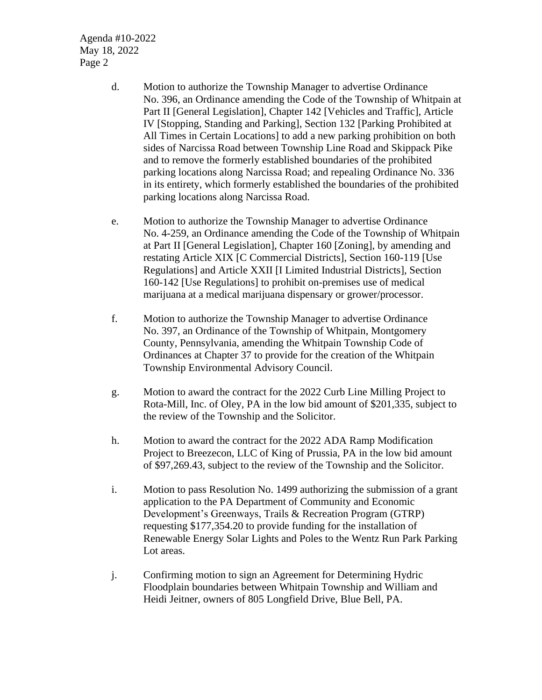Agenda #10-2022 May 18, 2022 Page 2

- d. Motion to authorize the Township Manager to advertise Ordinance No. 396, an Ordinance amending the Code of the Township of Whitpain at Part II [General Legislation], Chapter 142 [Vehicles and Traffic], Article IV [Stopping, Standing and Parking], Section 132 [Parking Prohibited at All Times in Certain Locations] to add a new parking prohibition on both sides of Narcissa Road between Township Line Road and Skippack Pike and to remove the formerly established boundaries of the prohibited parking locations along Narcissa Road; and repealing Ordinance No. 336 in its entirety, which formerly established the boundaries of the prohibited parking locations along Narcissa Road.
- e. Motion to authorize the Township Manager to advertise Ordinance No. 4-259, an Ordinance amending the Code of the Township of Whitpain at Part II [General Legislation], Chapter 160 [Zoning], by amending and restating Article XIX [C Commercial Districts], Section 160-119 [Use Regulations] and Article XXII [I Limited Industrial Districts], Section 160-142 [Use Regulations] to prohibit on-premises use of medical marijuana at a medical marijuana dispensary or grower/processor.
- f. Motion to authorize the Township Manager to advertise Ordinance No. 397, an Ordinance of the Township of Whitpain, Montgomery County, Pennsylvania, amending the Whitpain Township Code of Ordinances at Chapter 37 to provide for the creation of the Whitpain Township Environmental Advisory Council.
- g. Motion to award the contract for the 2022 Curb Line Milling Project to Rota-Mill, Inc. of Oley, PA in the low bid amount of \$201,335, subject to the review of the Township and the Solicitor.
- h. Motion to award the contract for the 2022 ADA Ramp Modification Project to Breezecon, LLC of King of Prussia, PA in the low bid amount of \$97,269.43, subject to the review of the Township and the Solicitor.
- i. Motion to pass Resolution No. 1499 authorizing the submission of a grant application to the PA Department of Community and Economic Development's Greenways, Trails & Recreation Program (GTRP) requesting \$177,354.20 to provide funding for the installation of Renewable Energy Solar Lights and Poles to the Wentz Run Park Parking Lot areas.
- j. Confirming motion to sign an Agreement for Determining Hydric Floodplain boundaries between Whitpain Township and William and Heidi Jeitner, owners of 805 Longfield Drive, Blue Bell, PA.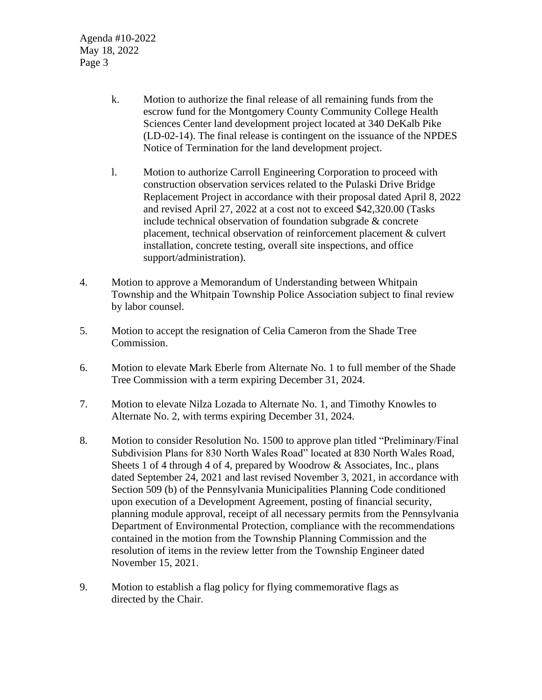Agenda #10-2022 May 18, 2022 Page 3

- k. Motion to authorize the final release of all remaining funds from the escrow fund for the Montgomery County Community College Health Sciences Center land development project located at 340 DeKalb Pike (LD-02-14). The final release is contingent on the issuance of the NPDES Notice of Termination for the land development project.
- l. Motion to authorize Carroll Engineering Corporation to proceed with construction observation services related to the Pulaski Drive Bridge Replacement Project in accordance with their proposal dated April 8, 2022 and revised April 27, 2022 at a cost not to exceed \$42,320.00 (Tasks include technical observation of foundation subgrade & concrete placement, technical observation of reinforcement placement & culvert installation, concrete testing, overall site inspections, and office support/administration).
- 4. Motion to approve a Memorandum of Understanding between Whitpain Township and the Whitpain Township Police Association subject to final review by labor counsel.
- 5. Motion to accept the resignation of Celia Cameron from the Shade Tree Commission.
- 6. Motion to elevate Mark Eberle from Alternate No. 1 to full member of the Shade Tree Commission with a term expiring December 31, 2024.
- 7. Motion to elevate Nilza Lozada to Alternate No. 1, and Timothy Knowles to Alternate No. 2, with terms expiring December 31, 2024.
- 8. Motion to consider Resolution No. 1500 to approve plan titled "Preliminary/Final Subdivision Plans for 830 North Wales Road" located at 830 North Wales Road, Sheets 1 of 4 through 4 of 4, prepared by Woodrow & Associates, Inc., plans dated September 24, 2021 and last revised November 3, 2021, in accordance with Section 509 (b) of the Pennsylvania Municipalities Planning Code conditioned upon execution of a Development Agreement, posting of financial security, planning module approval, receipt of all necessary permits from the Pennsylvania Department of Environmental Protection, compliance with the recommendations contained in the motion from the Township Planning Commission and the resolution of items in the review letter from the Township Engineer dated November 15, 2021.
- 9. Motion to establish a flag policy for flying commemorative flags as directed by the Chair.